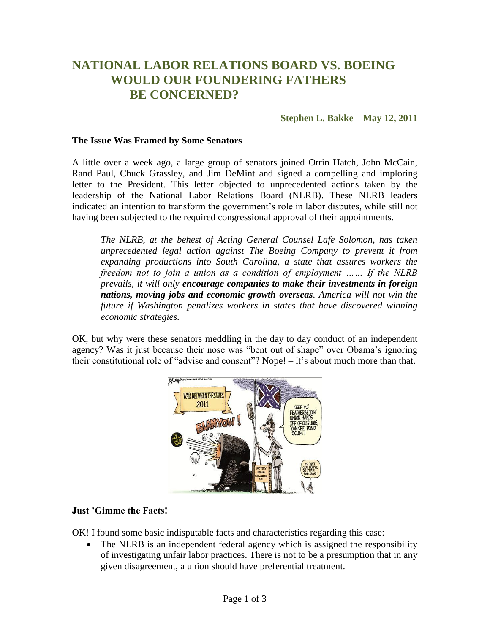# **NATIONAL LABOR RELATIONS BOARD VS. BOEING – WOULD OUR FOUNDERING FATHERS BE CONCERNED?**

### **Stephen L. Bakke – May 12, 2011**

#### **The Issue Was Framed by Some Senators**

A little over a week ago, a large group of senators joined Orrin Hatch, John McCain, Rand Paul, Chuck Grassley, and Jim DeMint and signed a compelling and imploring letter to the President. This letter objected to unprecedented actions taken by the leadership of the National Labor Relations Board (NLRB). These NLRB leaders indicated an intention to transform the government's role in labor disputes, while still not having been subjected to the required congressional approval of their appointments.

*The NLRB, at the behest of Acting General Counsel Lafe Solomon, has taken unprecedented legal action against The Boeing Company to prevent it from expanding productions into South Carolina, a state that assures workers the freedom not to join a union as a condition of employment …… If the NLRB prevails, it will only encourage companies to make their investments in foreign nations, moving jobs and economic growth overseas. America will not win the future if Washington penalizes workers in states that have discovered winning economic strategies.*

OK, but why were these senators meddling in the day to day conduct of an independent agency? Was it just because their nose was "bent out of shape" over Obama's ignoring their constitutional role of "advise and consent"? Nope! – it's about much more than that.



#### **Just 'Gimme the Facts!**

OK! I found some basic indisputable facts and characteristics regarding this case:

• The NLRB is an independent federal agency which is assigned the responsibility of investigating unfair labor practices. There is not to be a presumption that in any given disagreement, a union should have preferential treatment.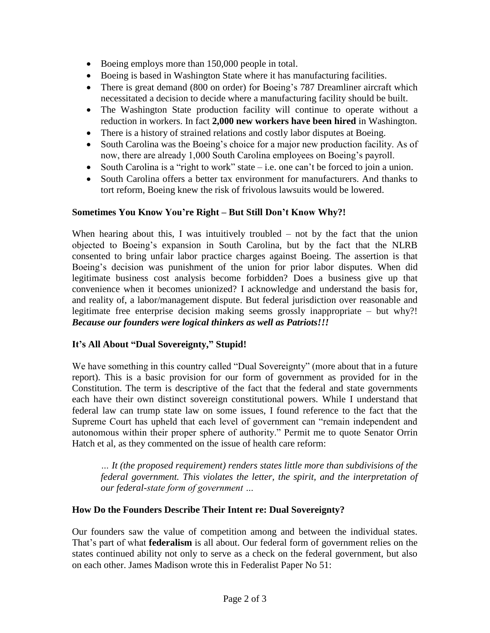- Boeing employs more than 150,000 people in total.
- Boeing is based in Washington State where it has manufacturing facilities.
- There is great demand (800 on order) for Boeing's 787 Dreamliner aircraft which necessitated a decision to decide where a manufacturing facility should be built.
- The Washington State production facility will continue to operate without a reduction in workers. In fact **2,000 new workers have been hired** in Washington.
- There is a history of strained relations and costly labor disputes at Boeing.
- South Carolina was the Boeing's choice for a major new production facility. As of now, there are already 1,000 South Carolina employees on Boeing's payroll.
- South Carolina is a "right to work" state  $-i.e.$  one can't be forced to join a union.
- South Carolina offers a better tax environment for manufacturers. And thanks to tort reform, Boeing knew the risk of frivolous lawsuits would be lowered.

## **Sometimes You Know You're Right – But Still Don't Know Why?!**

When hearing about this, I was intuitively troubled  $-$  not by the fact that the union objected to Boeing's expansion in South Carolina, but by the fact that the NLRB consented to bring unfair labor practice charges against Boeing. The assertion is that Boeing's decision was punishment of the union for prior labor disputes. When did legitimate business cost analysis become forbidden? Does a business give up that convenience when it becomes unionized? I acknowledge and understand the basis for, and reality of, a labor/management dispute. But federal jurisdiction over reasonable and legitimate free enterprise decision making seems grossly inappropriate – but why?! *Because our founders were logical thinkers as well as Patriots!!!*

# **It's All About "Dual Sovereignty," Stupid!**

We have something in this country called "Dual Sovereignty" (more about that in a future report). This is a basic provision for our form of government as provided for in the Constitution. The term is descriptive of the fact that the federal and state governments each have their own distinct sovereign constitutional powers. While I understand that federal law can trump state law on some issues, I found reference to the fact that the Supreme Court has upheld that each level of government can "remain independent and autonomous within their proper sphere of authority." Permit me to quote Senator Orrin Hatch et al, as they commented on the issue of health care reform:

*… It (the proposed requirement) renders states little more than subdivisions of the federal government. This violates the letter, the spirit, and the interpretation of our federal-state form of government …* 

# **How Do the Founders Describe Their Intent re: Dual Sovereignty?**

Our founders saw the value of competition among and between the individual states. That's part of what **federalism** is all about. Our federal form of government relies on the states continued ability not only to serve as a check on the federal government, but also on each other. James Madison wrote this in Federalist Paper No 51: